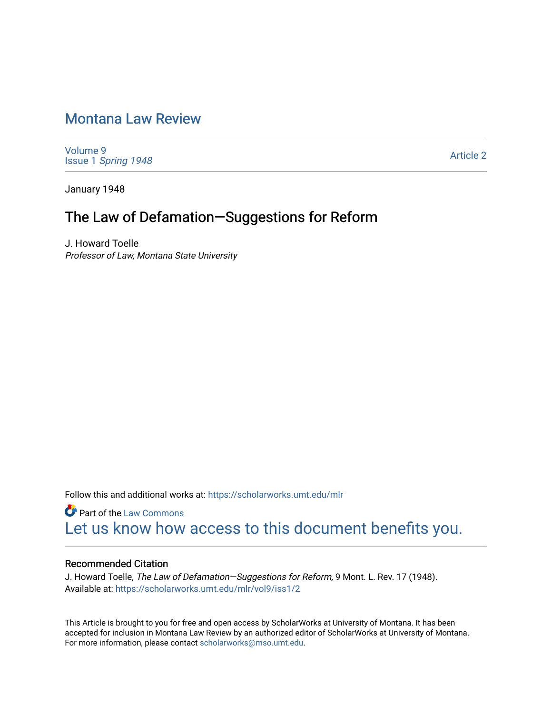# [Montana Law Review](https://scholarworks.umt.edu/mlr)

[Volume 9](https://scholarworks.umt.edu/mlr/vol9) Issue 1 [Spring 1948](https://scholarworks.umt.edu/mlr/vol9/iss1) 

[Article 2](https://scholarworks.umt.edu/mlr/vol9/iss1/2) 

January 1948

# The Law of Defamation—Suggestions for Reform

J. Howard Toelle Professor of Law, Montana State University

Follow this and additional works at: [https://scholarworks.umt.edu/mlr](https://scholarworks.umt.edu/mlr?utm_source=scholarworks.umt.edu%2Fmlr%2Fvol9%2Fiss1%2F2&utm_medium=PDF&utm_campaign=PDFCoverPages) 

**Part of the [Law Commons](http://network.bepress.com/hgg/discipline/578?utm_source=scholarworks.umt.edu%2Fmlr%2Fvol9%2Fiss1%2F2&utm_medium=PDF&utm_campaign=PDFCoverPages)** [Let us know how access to this document benefits you.](https://goo.gl/forms/s2rGfXOLzz71qgsB2) 

# Recommended Citation

J. Howard Toelle, The Law of Defamation-Suggestions for Reform, 9 Mont. L. Rev. 17 (1948). Available at: [https://scholarworks.umt.edu/mlr/vol9/iss1/2](https://scholarworks.umt.edu/mlr/vol9/iss1/2?utm_source=scholarworks.umt.edu%2Fmlr%2Fvol9%2Fiss1%2F2&utm_medium=PDF&utm_campaign=PDFCoverPages)

This Article is brought to you for free and open access by ScholarWorks at University of Montana. It has been accepted for inclusion in Montana Law Review by an authorized editor of ScholarWorks at University of Montana. For more information, please contact [scholarworks@mso.umt.edu.](mailto:scholarworks@mso.umt.edu)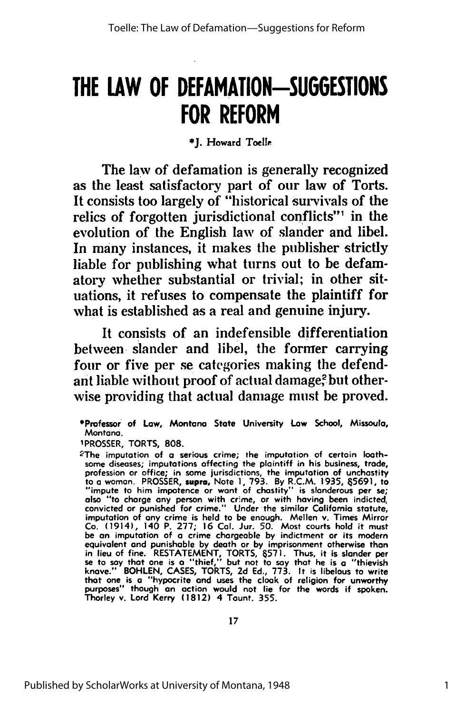# **THE LAW OF DEFAMATION-SUGGESTIONS FOR REFORM**

## **\*J.** Howard Toell

The law of defamation is generally recognized as the least satisfactory part of our law of Torts. It consists too largely of "historical survivals of the relics of forgotten jurisdictional conflicts"' in the evolution of the English law of slander and libel. In many instances, it makes the publisher strictly liable for publishing what turns out to be defamatory whether substantial or trivial; in other situations, it refuses to compensate the plaintiff for what is established as a real and genuine injury.

It consists of an indefensible differentiation between, slander and libel, the former carrying four or five per se categories making the defendant liable without proof of actual damage? but otherwise providing that actual damage must be proved.

<sup>\*</sup>Professor of Law, Montano State University Low School, Missoula, Montana.

<sup>1</sup>PROSSER, TORTS, **808.** <sup>2</sup> The imputation of **a** serious crime; the imputation of certain loathsome diseases; imputations affecting the plaintiff in his business, trade, profession or office; in some jurisdictions, the imputation of unchastity to **a** woman. PROSSER, **supra,** Note **1, 793. By** R.C.M. **1935, 65691,** to "impute to him impotence or wont of chastity" is slanderous per se; also "to charge any person with crime, or with having been indicted, convicted or punished for crime." Under the similar California statute, imputation of any crime is held to be enough. Mellen v. Times Mirror Co. (1914), 140 P. **277; 16 Cal.** Jur. **50.** Most courts hold it must be an imputation of **a** crime chargeable **by** indictment or its modern equivalent and punishable **by** death or **by** imprisonment otherwise than in lieu of fine. **RESTATEMENT,** TORTS, **657I.** Thus, it is slander per se to say that one is a "thief," but not to say that he is a "thievish<br>knave." BOHLEN, CASES, TORTS, 2d Ed., 773. It is libelous to write<br>that one is a "hypocrite and uses the cloak of religion for unworthy purposes" though **an** action would not **lie** for the words if spoken. Thorley v. Lord Kerry **(1812)** 4 Taunt. **355.**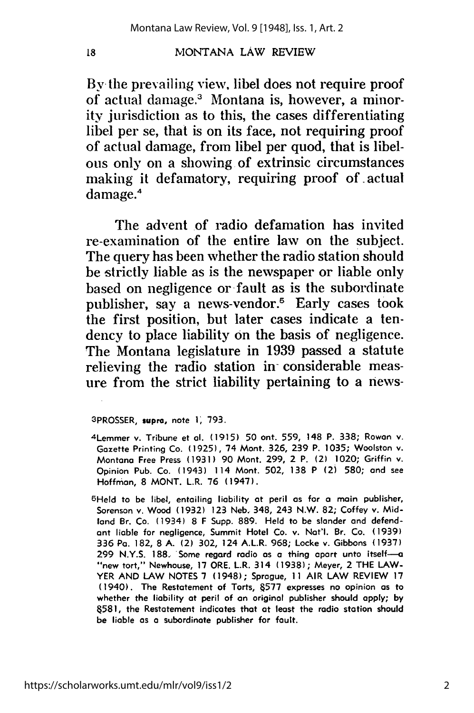### MONTANA LAW REVIEW

By the prevailing view, libel does not require proof **of** actual damage.3 Montana is, however, a minority jurisdiction as to this, the cases differentiating libel per se, that is on its face, not requiring proof of actual damage, from libel per quod, that is libelous only **on** a showing of extrinsic circumstances making it defamatory, requiring proof of.actual damage.4

The advent of radio defamation has invited re-examination of the entire law on the subject. The query has been whether the radio station should be strictly liable as is the newspaper or liable only based on negligence or fault as is the subordinate publisher, say a news-vendor.<sup>5</sup> Early cases took the first position, but later cases indicate a tendency to place liability on the basis of negligence. The Montana legislature in **1939** passed a statute relieving the radio station in- considerable measure from the strict liability pertaining to a news-

#### 3PROSSER, **supra,** note 1, 793.

- <sup>4</sup> Lemmer v. Tribune et **al.** (1915) 50 ont. 559, 148 P. 338; Rowan v. Gazette Printing Co. (1925), 74 Mont. 326, 239 P. 1035; Woolston v. Montana Free Press (1931) 90 Mont. 299, 2 P. (2) 1020; Griffin v. Opinion Pub. Co. (1943) 114 Mont. 502, 138 P (2) 580; and see Hoffman, 8 MONT. L.R. **76** (1947).
- 5Held to be libel, entailing liability at peril as for **a** main publisher, Sorenson v. Wood (1932) 123 Neb. 348, 243 N.W. 82; Coffey v. Midland Br. Co. (1934) 8 F Supp. 889. Held to be slander and defendant liable for negligence, Summit Hotel Co. v. Nat'l. Br. Co. (1939) 336 Pa. 182, 8 A. (2) 302, 124 A.L.R. 968; Locke **v.** Gibbons (1937) 299 N.Y.S. 188. Some regard radio as **a** thing apart unto itself-a "new tort," Newhouse, **17** ORE. L.R. 314 (1938); Meyer, 2 THE LAW-YER **AND** LAW NOTES **7** (1948); Sprague, 11 AIR LAW REVIEW **17** (1940). The Restatement of Torts, **&577** expresses no opinion as to whether the liability at peril of an original publisher should **apply; by &581,** the Restatement indicates that at least the radio station should be liable as a subordinate publisher for fault.

18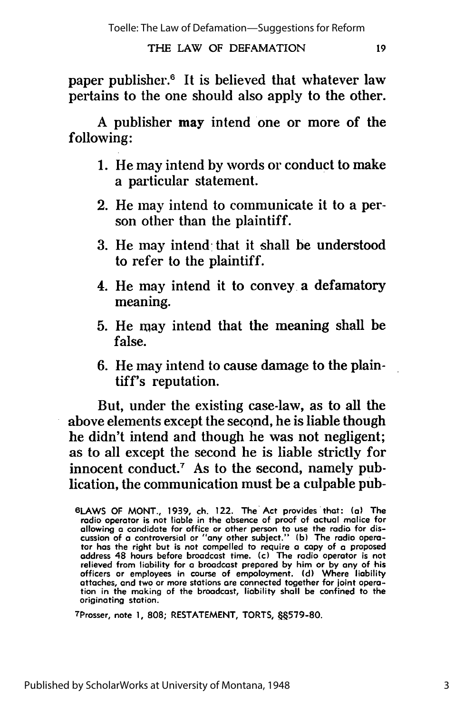# THE LAW OF DEFAMATION

paper publisher.<sup>6</sup> It is believed that whatever law pertains to the one should also apply to the other.

A publisher may intend one or more of the following:

- 1. He may intend by words or conduct to make a particular statement.
- 2. He may intend to communicate it to a person other than the plaintiff.
- 3. He may intend that it shall be understood to refer to the plaintiff.
- 4. He may intend it to convey a defamatory meaning.
- **5.** He may intend that the meaning shall be false.
- 6. He may intend to cause damage to the plaintiff's reputation.

But, under the existing case-law, as to all the above elements except the second, he is liable though he didn't intend and though he was not negligent; as to all except the second he is liable strictly for innocent conduct.<sup>7</sup> As to the second, namely publication, the communication must be a culpable pub-

<sup>7</sup> Prosser, note **1, 808; RESTATEMENT,** TORTS, **6"579-80.**

**<sup>6</sup>LAWS** OF MONT., 1939, ch. 122. The Act provides that: (a) The radio operator is not liable in the absence of proof of actual malice for allowing **a** candidate for office or other person to use the radio for discussion of a controversial or "any other subject." **(b)** The **radio** opera-tor has the right but is not compelled to require **a** copy of a proposed address 48 hours before broadcast time. (c) The radio operator is not<br>relieved from liability for a broadcast prepared by him or by any of his<br>officers or employees in course of empoloyment. (d) Where liability attaches, and two or more stations are connected together for joint operation in the making of the broadcast, liability shall be confined to the originating station.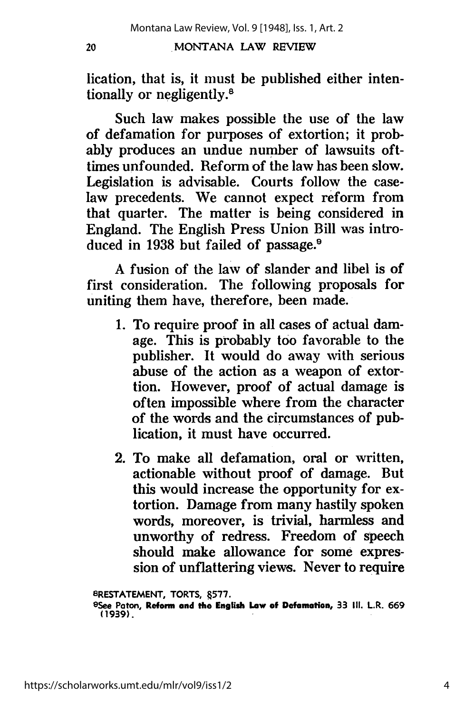20

## MONTANA LAW REVIEW

lication, that is, it must be published either intentionally or negligently.8

Such law makes possible the use of the law of defamation for purposes of extortion; it probably produces an undue number of lawsuits ofttimes unfounded. Reform of the law has been slow. Legislation is advisable. Courts follow the caselaw precedents. We cannot expect reform from that quarter. The matter is being considered in England. The English Press Union Bill was introduced in 1938 but failed of passage.<sup>9</sup>

A fusion of the law of slander and libel is of first consideration. The following proposals for uniting them have, therefore, been made.

- 1. To require proof in all cases of actual damage. This is probably too favorable to the publisher. It would do away with serious abuse of the action as a weapon of extortion. However, proof of actual damage is often impossible where from the character of the words and the circumstances of publication, it must have occurred.
- 2. To make all defamation, oral or written, actionable without proof of damage. But this would increase the opportunity for extortion. Damage from many hastily spoken words, moreover, is trivial, harmless and unworthy of redress. Freedom of speech should make allowance for some expression of unflattering views. Never to **require**

**BRESTATEMENT, TORTS, .577.**

https://scholarworks.umt.edu/mlr/vol9/iss1/2

**<sup>9</sup>See Paton, Reform and the English Law of Defamation, 33 Ill. LR. 669 (1939).**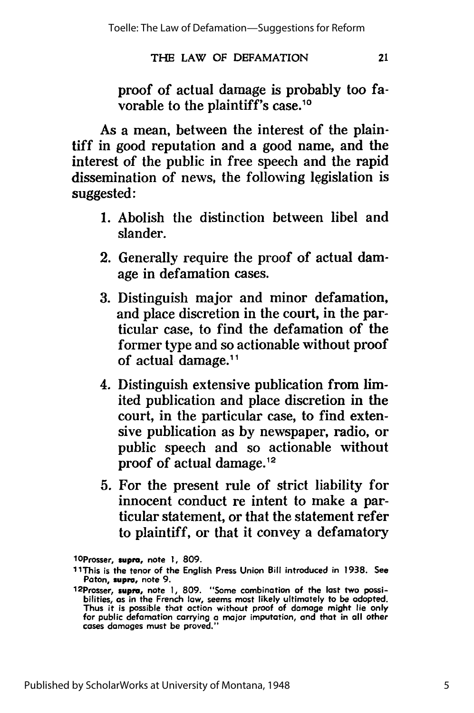# **THE** LAW OF **DEFAMATION**

proof of actual damage is probably too favorable to the plaintiff's case.<sup>10</sup>

21

As a mean, between the interest of the plaintiff in good reputation and a good name, and the interest of the public in free speech and the rapid dissemination of news, the following legislation is suggested:

- 1. Abolish the distinction between libel and slander.
- 2. Generally require the proof of actual damage in defamation cases.
- 3. Distinguish major and minor defamation, and place discretion in the court, in the particular case, to find the defamation of the former type and so actionable without proof of actual damage.11
- 4. Distinguish extensive publication from limited publication and place discretion in the court, in the particular case, to find extensive publication as by newspaper, radio, or public speech and so actionable without proof of actual damage.12
- **5.** For the present rule of strict liability for innocent conduct re intent to make a particular statement, or that the statement refer to plaintiff, or that it convey a defamatory

lOProsser, **supra, note 1, 809.**

**<sup>1</sup>** IThis is the tenor of the English Press Union Bill introduced in **1938.** See Paton, supra, note **9.** 1 2 Prosser, supra, note **1, 809.** "Some combination of the lost two possi-

bilities, as in the French law, seems most likely ultimately to be adopted. Thus it is possible that action without proof of damage might lie only for public defamation carrying **a** major imputation, and that in **all** other cases damages must be proved."